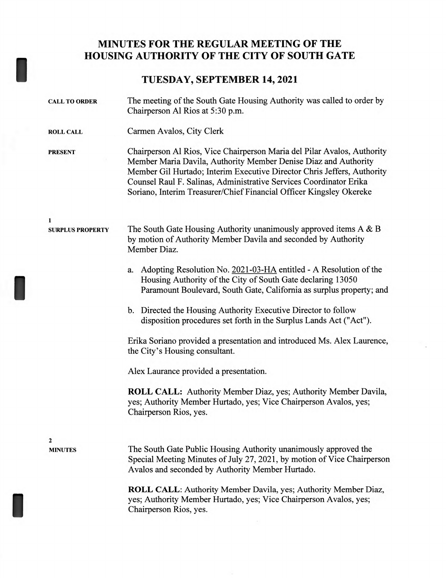## **MINUTES FOR THE REGULAR MEETING OF THE HOUSING AUTHORITY OF THE CITY OF SOUTH GATE**

## **TUESDAY, SEPTEMBER 14, 2021**

I

I

| <b>CALL TO ORDER</b>         | The meeting of the South Gate Housing Authority was called to order by<br>Chairperson Al Rios at 5:30 p.m.                                                                                                                                                                                                                                                         |
|------------------------------|--------------------------------------------------------------------------------------------------------------------------------------------------------------------------------------------------------------------------------------------------------------------------------------------------------------------------------------------------------------------|
| <b>ROLL CALL</b>             | Carmen Avalos, City Clerk                                                                                                                                                                                                                                                                                                                                          |
| <b>PRESENT</b>               | Chairperson Al Rios, Vice Chairperson Maria del Pilar Avalos, Authority<br>Member Maria Davila, Authority Member Denise Diaz and Authority<br>Member Gil Hurtado; Interim Executive Director Chris Jeffers, Authority<br>Counsel Raul F. Salinas, Administrative Services Coordinator Erika<br>Soriano, Interim Treasurer/Chief Financial Officer Kingsley Okereke |
| 1<br><b>SURPLUS PROPERTY</b> | The South Gate Housing Authority unanimously approved items A & B<br>by motion of Authority Member Davila and seconded by Authority<br>Member Diaz.                                                                                                                                                                                                                |
|                              | Adopting Resolution No. 2021-03-HA entitled - A Resolution of the<br>a.<br>Housing Authority of the City of South Gate declaring 13050<br>Paramount Boulevard, South Gate, California as surplus property; and                                                                                                                                                     |
|                              | b. Directed the Housing Authority Executive Director to follow<br>disposition procedures set forth in the Surplus Lands Act ("Act").                                                                                                                                                                                                                               |
|                              | Erika Soriano provided a presentation and introduced Ms. Alex Laurence,<br>the City's Housing consultant.                                                                                                                                                                                                                                                          |
|                              | Alex Laurance provided a presentation.                                                                                                                                                                                                                                                                                                                             |
|                              | <b>ROLL CALL:</b> Authority Member Diaz, yes; Authority Member Davila,<br>yes; Authority Member Hurtado, yes; Vice Chairperson Avalos, yes;<br>Chairperson Rios, yes.                                                                                                                                                                                              |
| 2                            |                                                                                                                                                                                                                                                                                                                                                                    |
| <b>MINUTES</b>               | The South Gate Public Housing Authority unanimously approved the<br>Special Meeting Minutes of July 27, 2021, by motion of Vice Chairperson<br>Avalos and seconded by Authority Member Hurtado.                                                                                                                                                                    |
|                              | ROLL CALL: Authority Member Davila, yes; Authority Member Diaz,<br>yes; Authority Member Hurtado, yes; Vice Chairperson Avalos, yes;<br>Chairperson Rios, yes.                                                                                                                                                                                                     |